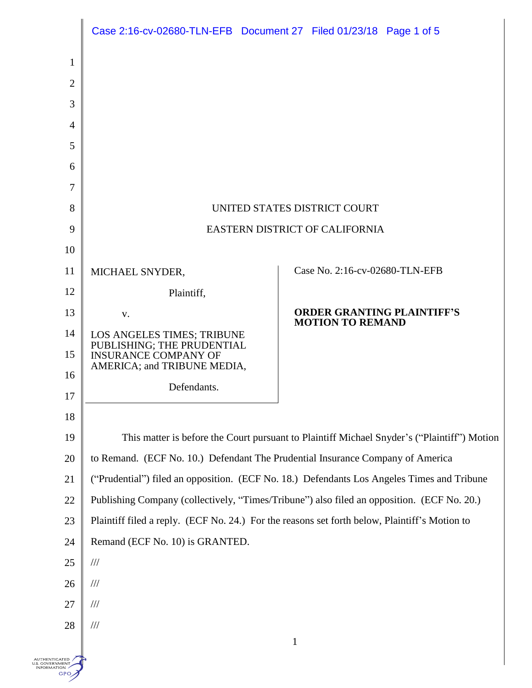|                | Case 2:16-cv-02680-TLN-EFB Document 27 Filed 01/23/18 Page 1 of 5                             |                                                              |
|----------------|-----------------------------------------------------------------------------------------------|--------------------------------------------------------------|
| $\mathbf{1}$   |                                                                                               |                                                              |
| $\overline{2}$ |                                                                                               |                                                              |
| 3              |                                                                                               |                                                              |
| $\overline{4}$ |                                                                                               |                                                              |
| 5              |                                                                                               |                                                              |
| 6              |                                                                                               |                                                              |
| 7              |                                                                                               |                                                              |
| 8              | UNITED STATES DISTRICT COURT                                                                  |                                                              |
| 9              | EASTERN DISTRICT OF CALIFORNIA                                                                |                                                              |
| 10             |                                                                                               |                                                              |
| 11             | MICHAEL SNYDER,                                                                               | Case No. 2:16-cv-02680-TLN-EFB                               |
| 12             | Plaintiff,                                                                                    |                                                              |
| 13             | V.                                                                                            | <b>ORDER GRANTING PLAINTIFF'S</b><br><b>MOTION TO REMAND</b> |
| 14             | LOS ANGELES TIMES; TRIBUNE                                                                    |                                                              |
| 15             | PUBLISHING; THE PRUDENTIAL<br><b>INSURANCE COMPANY OF</b><br>AMERICA; and TRIBUNE MEDIA,      |                                                              |
| 16             | Defendants.                                                                                   |                                                              |
| 17             |                                                                                               |                                                              |
| 18             |                                                                                               |                                                              |
| 19             | This matter is before the Court pursuant to Plaintiff Michael Snyder's ("Plaintiff") Motion   |                                                              |
| 20             | to Remand. (ECF No. 10.) Defendant The Prudential Insurance Company of America                |                                                              |
| 21             | ("Prudential") filed an opposition. (ECF No. 18.) Defendants Los Angeles Times and Tribune    |                                                              |
| 22             | Publishing Company (collectively, "Times/Tribune") also filed an opposition. (ECF No. 20.)    |                                                              |
| 23             | Plaintiff filed a reply. (ECF No. 24.) For the reasons set forth below, Plaintiff's Motion to |                                                              |
| 24             | Remand (ECF No. 10) is GRANTED.                                                               |                                                              |
| 25             | $/\!/ \!/$                                                                                    |                                                              |
| 26             | $\frac{1}{1}$                                                                                 |                                                              |
| 27             | $\frac{1}{1}$                                                                                 |                                                              |
| 28             | $/\!/$                                                                                        | $\mathbf{1}$                                                 |
| ATED           |                                                                                               |                                                              |

AUTHENTICATED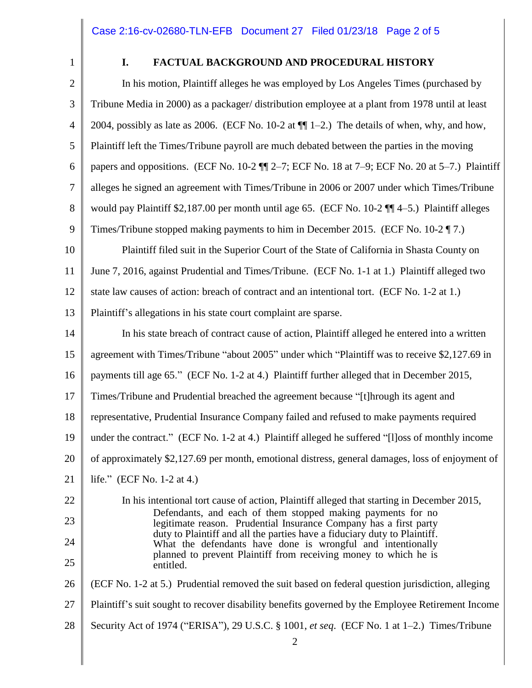1

# **I. FACTUAL BACKGROUND AND PROCEDURAL HISTORY**

2 3 4 5 6 7 8 9 In his motion, Plaintiff alleges he was employed by Los Angeles Times (purchased by Tribune Media in 2000) as a packager/ distribution employee at a plant from 1978 until at least 2004, possibly as late as 2006. (ECF No. 10-2 at  $\P$  $1-2$ .) The details of when, why, and how, Plaintiff left the Times/Tribune payroll are much debated between the parties in the moving papers and oppositions. (ECF No. 10-2 ¶¶ 2–7; ECF No. 18 at 7–9; ECF No. 20 at 5–7.) Plaintiff alleges he signed an agreement with Times/Tribune in 2006 or 2007 under which Times/Tribune would pay Plaintiff \$2,187.00 per month until age 65. (ECF No. 10-2 ¶¶ 4–5.) Plaintiff alleges Times/Tribune stopped making payments to him in December 2015. (ECF No. 10-2 ¶ 7.)

10 11 12 Plaintiff filed suit in the Superior Court of the State of California in Shasta County on June 7, 2016, against Prudential and Times/Tribune. (ECF No. 1-1 at 1.) Plaintiff alleged two state law causes of action: breach of contract and an intentional tort. (ECF No. 1-2 at 1.)

13 Plaintiff's allegations in his state court complaint are sparse.

14 In his state breach of contract cause of action, Plaintiff alleged he entered into a written

15 agreement with Times/Tribune "about 2005" under which "Plaintiff was to receive \$2,127.69 in

16 payments till age 65." (ECF No. 1-2 at 4.) Plaintiff further alleged that in December 2015,

17 Times/Tribune and Prudential breached the agreement because "[t]hrough its agent and

18 representative, Prudential Insurance Company failed and refused to make payments required

19 under the contract." (ECF No. 1-2 at 4.) Plaintiff alleged he suffered "[l]oss of monthly income

20 of approximately \$2,127.69 per month, emotional distress, general damages, loss of enjoyment of

21 life." (ECF No. 1-2 at 4.)

22 23 24 25 In his intentional tort cause of action, Plaintiff alleged that starting in December 2015, Defendants, and each of them stopped making payments for no legitimate reason. Prudential Insurance Company has a first party duty to Plaintiff and all the parties have a fiduciary duty to Plaintiff. What the defendants have done is wrongful and intentionally planned to prevent Plaintiff from receiving money to which he is entitled.

26 (ECF No. 1-2 at 5.) Prudential removed the suit based on federal question jurisdiction, alleging

27 Plaintiff's suit sought to recover disability benefits governed by the Employee Retirement Income

28 Security Act of 1974 ("ERISA"), 29 U.S.C. § 1001, *et seq*. (ECF No. 1 at 1–2.) Times/Tribune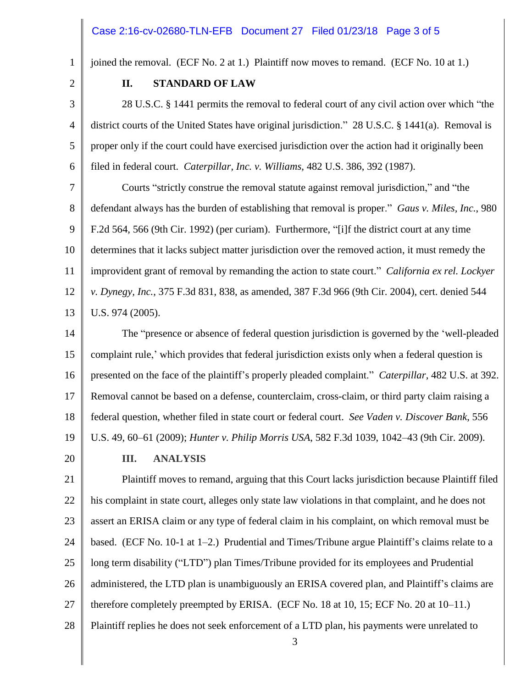### Case 2:16-cv-02680-TLN-EFB Document 27 Filed 01/23/18 Page 3 of 5

joined the removal. (ECF No. 2 at 1.) Plaintiff now moves to remand. (ECF No. 10 at 1.)

2

3

4

5

6

1

#### **II. STANDARD OF LAW**

28 U.S.C. § 1441 permits the removal to federal court of any civil action over which "the district courts of the United States have original jurisdiction." 28 U.S.C. § 1441(a). Removal is proper only if the court could have exercised jurisdiction over the action had it originally been filed in federal court. *Caterpillar, Inc. v. Williams*, 482 U.S. 386, 392 (1987).

7 8 9 10 11 12 13 Courts "strictly construe the removal statute against removal jurisdiction," and "the defendant always has the burden of establishing that removal is proper." *Gaus v. Miles, Inc.*, 980 F.2d 564, 566 (9th Cir. 1992) (per curiam). Furthermore, "[i]f the district court at any time determines that it lacks subject matter jurisdiction over the removed action, it must remedy the improvident grant of removal by remanding the action to state court." *California ex rel. Lockyer v. Dynegy, Inc.*, 375 F.3d 831, 838, as amended, 387 F.3d 966 (9th Cir. 2004), cert. denied 544 U.S. 974 (2005).

14 15 16 17 18 19 The "presence or absence of federal question jurisdiction is governed by the 'well-pleaded complaint rule,' which provides that federal jurisdiction exists only when a federal question is presented on the face of the plaintiff's properly pleaded complaint." *Caterpillar*, 482 U.S. at 392. Removal cannot be based on a defense, counterclaim, cross-claim, or third party claim raising a federal question, whether filed in state court or federal court. *See Vaden v. Discover Bank*, 556 U.S. 49, 60–61 (2009); *Hunter v. Philip Morris USA*, 582 F.3d 1039, 1042–43 (9th Cir. 2009).

20

**III. ANALYSIS**

21 22 23 24 25 26 27 28 Plaintiff moves to remand, arguing that this Court lacks jurisdiction because Plaintiff filed his complaint in state court, alleges only state law violations in that complaint, and he does not assert an ERISA claim or any type of federal claim in his complaint, on which removal must be based. (ECF No. 10-1 at 1–2.) Prudential and Times/Tribune argue Plaintiff's claims relate to a long term disability ("LTD") plan Times/Tribune provided for its employees and Prudential administered, the LTD plan is unambiguously an ERISA covered plan, and Plaintiff's claims are therefore completely preempted by ERISA. (ECF No. 18 at 10, 15; ECF No. 20 at 10–11.) Plaintiff replies he does not seek enforcement of a LTD plan, his payments were unrelated to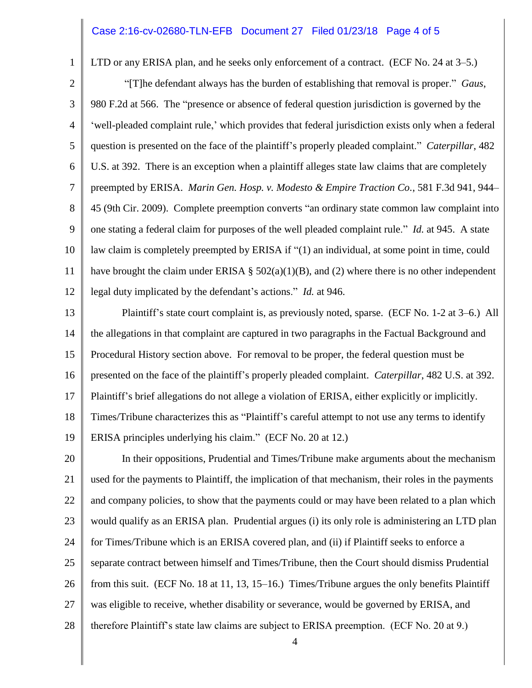## Case 2:16-cv-02680-TLN-EFB Document 27 Filed 01/23/18 Page 4 of 5

1

LTD or any ERISA plan, and he seeks only enforcement of a contract. (ECF No. 24 at 3–5.)

2 3 4 5 6 7 8 9 10 11 12 "[T]he defendant always has the burden of establishing that removal is proper." *Gaus*, 980 F.2d at 566. The "presence or absence of federal question jurisdiction is governed by the 'well-pleaded complaint rule,' which provides that federal jurisdiction exists only when a federal question is presented on the face of the plaintiff's properly pleaded complaint." *Caterpillar*, 482 U.S. at 392. There is an exception when a plaintiff alleges state law claims that are completely preempted by ERISA. *Marin Gen. Hosp. v. Modesto & Empire Traction Co.*, 581 F.3d 941, 944– 45 (9th Cir. 2009). Complete preemption converts "an ordinary state common law complaint into one stating a federal claim for purposes of the well pleaded complaint rule." *Id.* at 945. A state law claim is completely preempted by ERISA if "(1) an individual, at some point in time, could have brought the claim under ERISA §  $502(a)(1)(B)$ , and (2) where there is no other independent legal duty implicated by the defendant's actions." *Id.* at 946.

13 14 15 16 17 18 19 Plaintiff's state court complaint is, as previously noted, sparse. (ECF No. 1-2 at 3–6.) All the allegations in that complaint are captured in two paragraphs in the Factual Background and Procedural History section above. For removal to be proper, the federal question must be presented on the face of the plaintiff's properly pleaded complaint. *Caterpillar*, 482 U.S. at 392. Plaintiff's brief allegations do not allege a violation of ERISA, either explicitly or implicitly. Times/Tribune characterizes this as "Plaintiff's careful attempt to not use any terms to identify ERISA principles underlying his claim." (ECF No. 20 at 12.)

20 21 22 23 24 25 26 27 28 In their oppositions, Prudential and Times/Tribune make arguments about the mechanism used for the payments to Plaintiff, the implication of that mechanism, their roles in the payments and company policies, to show that the payments could or may have been related to a plan which would qualify as an ERISA plan. Prudential argues (i) its only role is administering an LTD plan for Times/Tribune which is an ERISA covered plan, and (ii) if Plaintiff seeks to enforce a separate contract between himself and Times/Tribune, then the Court should dismiss Prudential from this suit. (ECF No. 18 at 11, 13, 15–16.) Times/Tribune argues the only benefits Plaintiff was eligible to receive, whether disability or severance, would be governed by ERISA, and therefore Plaintiff's state law claims are subject to ERISA preemption. (ECF No. 20 at 9.)